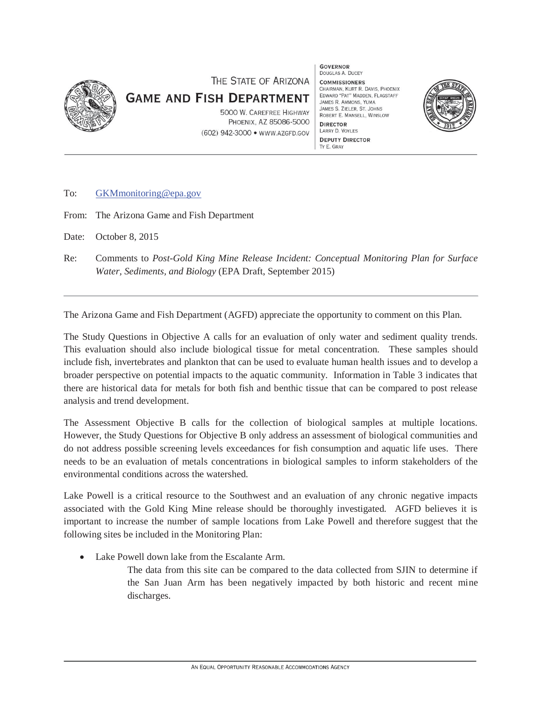

## THE STATE OF ARIZONA **GAME AND FISH DEPARTMENT**

5000 W. CAREFREE HIGHWAY PHOENIX, AZ 85086-5000 (602) 942-3000 · www.AZGFD.GOV **GOVERNOR** DOUGLAS A. DUCEY **COMMISSIONERS** CHAIRMAN, KURT R. DAVIS, PHOENIX EDWARD "PAT" MADDEN, FLAGSTAFF JAMES R AMMONS YIIMA JAMES S. ZIELER, ST. JOHNS ROBERT E. MANSELL, WINSLOW **DIRECTOR** LARRY D. VOYLES **DEPUTY DIRECTOR** TY E. GRAY



To: GKMmonitoring@epa.gov

From: The Arizona Game and Fish Department

Date: October 8, 2015

Re: Comments to *Post-Gold King Mine Release Incident: Conceptual Monitoring Plan for Surface Water, Sediments, and Biology* (EPA Draft, September 2015)

The Arizona Game and Fish Department (AGFD) appreciate the opportunity to comment on this Plan.

 The Study Questions in Objective A calls for an evaluation of only water and sediment quality trends. This evaluation should also include biological tissue for metal concentration. These samples should include fish, invertebrates and plankton that can be used to evaluate human health issues and to develop a broader perspective on potential impacts to the aquatic community. Information in Table 3 indicates that there are historical data for metals for both fish and benthic tissue that can be compared to post release analysis and trend development.

The Assessment Objective B calls for the collection of biological samples at multiple locations. needs to be an evaluation of metals concentrations in biological samples to inform stakeholders of the environmental conditions across the watershed. However, the Study Questions for Objective B only address an assessment of biological communities and do not address possible screening levels exceedances for fish consumption and aquatic life uses. There

 associated with the Gold King Mine release should be thoroughly investigated. AGFD believes it is important to increase the number of sample locations from Lake Powell and therefore suggest that the Lake Powell is a critical resource to the Southwest and an evaluation of any chronic negative impacts following sites be included in the Monitoring Plan:

- Lake Powell down lake from the Escalante Arm.
	- The data from this site can be compared to the data collected from SJIN to determine if the San Juan Arm has been negatively impacted by both historic and recent mine discharges.